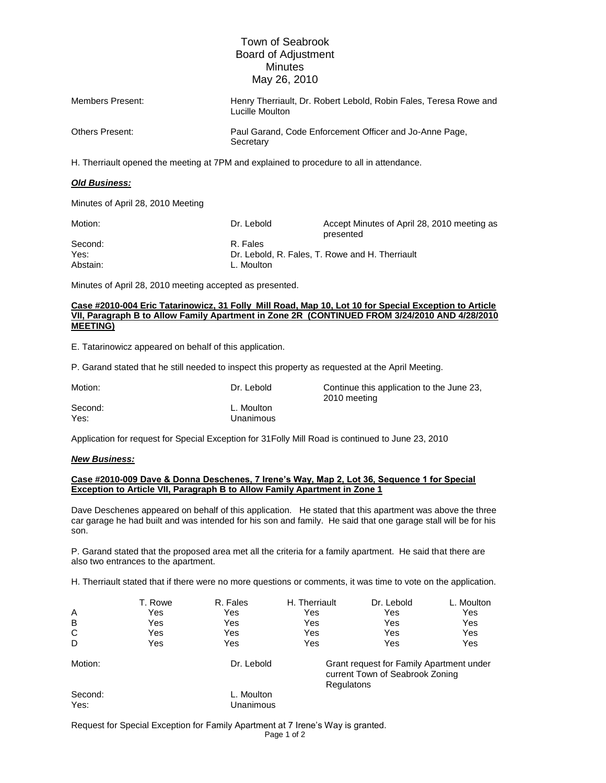## Town of Seabrook Board of Adjustment **Minutes** May 26, 2010

| Members Present: | Henry Therriault, Dr. Robert Lebold, Robin Fales, Teresa Rowe and<br>Lucille Moulton |
|------------------|--------------------------------------------------------------------------------------|
| Others Present:  | Paul Garand, Code Enforcement Officer and Jo-Anne Page,<br>Secretary                 |

H. Therriault opened the meeting at 7PM and explained to procedure to all in attendance.

### *Old Business:*

Minutes of April 28, 2010 Meeting

| Motion:  | Dr. Lebold | Accept Minutes of April 28, 2010 meeting as<br>presented |
|----------|------------|----------------------------------------------------------|
| Second:  | R. Fales   |                                                          |
| Yes:     |            | Dr. Lebold, R. Fales, T. Rowe and H. Therriault          |
| Abstain: | L. Moulton |                                                          |

Minutes of April 28, 2010 meeting accepted as presented.

#### **Case #2010-004 Eric Tatarinowicz, 31 Folly Mill Road, Map 10, Lot 10 for Special Exception to Article VII, Paragraph B to Allow Family Apartment in Zone 2R (CONTINUED FROM 3/24/2010 AND 4/28/2010 MEETING)**

E. Tatarinowicz appeared on behalf of this application.

P. Garand stated that he still needed to inspect this property as requested at the April Meeting.

| Motion: | Dr. Lebold |
|---------|------------|
| Second: | L. Moulton |
| Yes:    | Unanimous  |

Continue this application to the June 23, 2010 meeting

Application for request for Special Exception for 31Folly Mill Road is continued to June 23, 2010

#### *New Business:*

#### **Case #2010-009 Dave & Donna Deschenes, 7 Irene's Way, Map 2, Lot 36, Sequence 1 for Special Exception to Article VII, Paragraph B to Allow Family Apartment in Zone 1**

Dave Deschenes appeared on behalf of this application. He stated that this apartment was above the three car garage he had built and was intended for his son and family. He said that one garage stall will be for his son.

P. Garand stated that the proposed area met all the criteria for a family apartment. He said that there are also two entrances to the apartment.

H. Therriault stated that if there were no more questions or comments, it was time to vote on the application.

|                 | T. Rowe | R. Fales                | H. Therriault | Dr. Lebold                                                                                | L. Moulton |
|-----------------|---------|-------------------------|---------------|-------------------------------------------------------------------------------------------|------------|
| A               | Yes     | Yes                     | Yes           | Yes                                                                                       | Yes        |
| B               | Yes     | Yes                     | Yes           | Yes                                                                                       | Yes        |
| C               | Yes     | Yes                     | Yes           | Yes                                                                                       | Yes        |
| D               | Yes     | Yes                     | Yes           | Yes                                                                                       | Yes        |
| Motion:         |         | Dr. Lebold              |               | Grant request for Family Apartment under<br>current Town of Seabrook Zoning<br>Regulatons |            |
| Second:<br>Yes: |         | L. Moulton<br>Unanimous |               |                                                                                           |            |

Request for Special Exception for Family Apartment at 7 Irene's Way is granted.